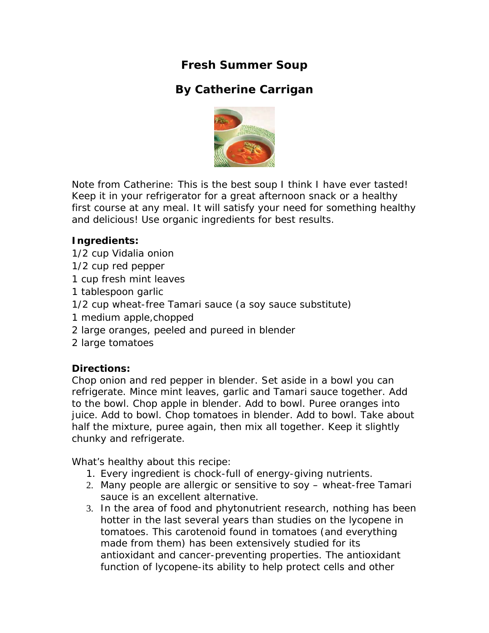**Fresh Summer Soup** 

## **By Catherine Carrigan**



Note from Catherine: This is the best soup I think I have ever tasted! Keep it in your refrigerator for a great afternoon snack or a healthy first course at any meal. It will satisfy your need for something healthy and delicious! Use organic ingredients for best results.

## **Ingredients:**

- 1/2 cup Vidalia onion
- 1/2 cup red pepper
- 1 cup fresh mint leaves
- 1 tablespoon garlic
- 1/2 cup wheat-free Tamari sauce (a soy sauce substitute)
- 1 medium apple,chopped
- 2 large oranges, peeled and pureed in blender
- 2 large tomatoes

## **Directions:**

Chop onion and red pepper in blender. Set aside in a bowl you can refrigerate. Mince mint leaves, garlic and Tamari sauce together. Add to the bowl. Chop apple in blender. Add to bowl. Puree oranges into juice. Add to bowl. Chop tomatoes in blender. Add to bowl. Take about half the mixture, puree again, then mix all together. Keep it slightly chunky and refrigerate.

What's healthy about this recipe:

- 1. Every ingredient is chock-full of energy-giving nutrients.
- 2. Many people are allergic or sensitive to soy wheat-free Tamari sauce is an excellent alternative.
- 3. In the area of food and phytonutrient research, nothing has been hotter in the last several years than studies on the *lycopene* in tomatoes. This carotenoid found in tomatoes (and everything made from them) has been extensively studied for its antioxidant and cancer-preventing properties. The antioxidant function of *lycopene*-its ability to help protect cells and other